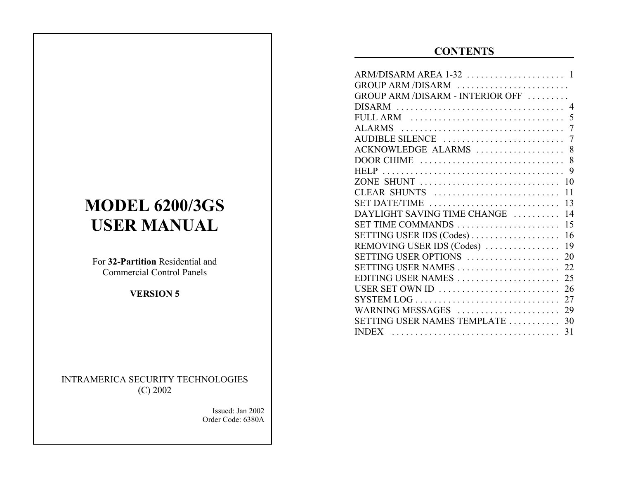# **CONTENTS**

| GROUP ARM /DISARM                |    |
|----------------------------------|----|
| GROUP ARM /DISARM - INTERIOR OFF |    |
|                                  |    |
| FULL ARM                         | 5  |
|                                  |    |
| AUDIBLE SILENCE                  | 7  |
| ACKNOWLEDGE ALARMS               | 8  |
| DOOR CHIME                       | 8  |
|                                  | 9  |
| ZONE SHUNT                       | 10 |
| CLEAR SHUNTS                     | 11 |
| SET DATE/TIME                    | 13 |
| DAYLIGHT SAVING TIME CHANGE      | 14 |
| SET TIME COMMANDS                | 15 |
| SETTING USER IDS (Codes)         | 16 |
| REMOVING USER IDS (Codes)        | 19 |
| SETTING USER OPTIONS             | 20 |
| SETTING USER NAMES               | 22 |
| EDITING USER NAMES               | 25 |
| USER SET OWN ID                  | 26 |
| SYSTEM LOG                       | 27 |
| WARNING MESSAGES                 | 29 |
| SETTING USER NAMES TEMPLATE      | 30 |
| <b>INDEX</b>                     | 31 |

# **MODEL 6200/3GS USER MANUAL**

For **32-Partition** Residential andCommercial Control Panels

**VERSION 5**

INTRAMERICA SECURITY TECHNOLOGIES (C) 2002

> Issued: Jan 2002Order Code: 6380A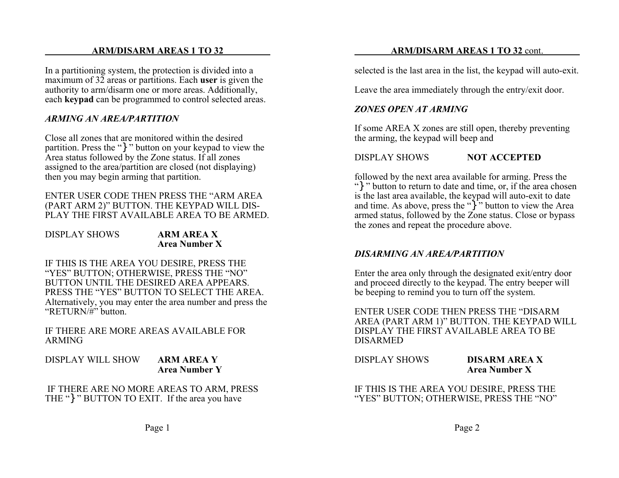#### **ARM/DISARM AREAS 1 TO 32**

In a partitioning system, the protection is divided into a maximum of 32 areas or partitions. Each **user** is given the authority to arm/disarm one or more areas. Additionally, each **keypad** can be programmed to control selected areas.

#### *ARMING AN AREA/PARTITION*

Close all zones that are monitored within the desiredpartition. Press the "}" button on your keypad to view the Area status followed by the Zone status. If all zones assigned to the area/partition are closed (not displaying) then you may begin arming that partition.

ENTER USER CODE THEN PRESS THE "ARM AREA(PART ARM 2)" BUTTON. THE KEYPAD WILL DIS-PLAY THE FIRST AVAILABLE AREA TO BE ARMED.

#### DISPLAY SHOWS

#### **ARM AREA XArea Number X**

IF THIS IS THE AREA YOU DESIRE, PRESS THE "YES" BUTTON; OTHERWISE, PRESS THE "NO" BUTTON UNTIL THE DESIRED AREA APPEARS.PRESS THE "YES" BUTTON TO SELECT THE AREA.Alternatively, you may enter the area number and press the "RETURN/#" button.

IF THERE ARE MORE AREAS AVAILABLE FOR ARMING

DISPLAY WILL SHOW **ARM AREA Y Area Number Y**

 IF THERE ARE NO MORE AREAS TO ARM, PRESS THE "} " BUTTON TO EXIT. If the area you have

selected is the last area in the list, the keypad will auto-exit.

Leave the area immediately through the entry/exit door.

#### *ZONES OPEN AT ARMING*

If some AREA X zones are still open, thereby preventing the arming, the keypad will beep and

#### DISPLAY SHOWS**NOT ACCEPTED**

followed by the next area available for arming. Press the "}" button to return to date and time, or, if the area chosen is the last area available, the keypad will auto-exit to date and time. As above, press the  $\binom{1}{1}$  button to view the Area armed status, followed by the Zone status. Close or bypass the zones and repeat the procedure above.

#### *DISARMING AN AREA/PARTITION*

Enter the area only through the designated exit/entry door and proceed directly to the keypad. The entry beeper will be beeping to remind you to turn off the system.

ENTER USER CODE THEN PRESS THE "DISARM AREA (PART ARM 1)" BUTTON. THE KEYPAD WILL DISPLAY THE FIRST AVAILABLE AREA TO BEDISARMED

DISPLAY SHOWS **DISARM AREA XArea Number X**

IF THIS IS THE AREA YOU DESIRE, PRESS THE "YES" BUTTON; OTHERWISE, PRESS THE "NO"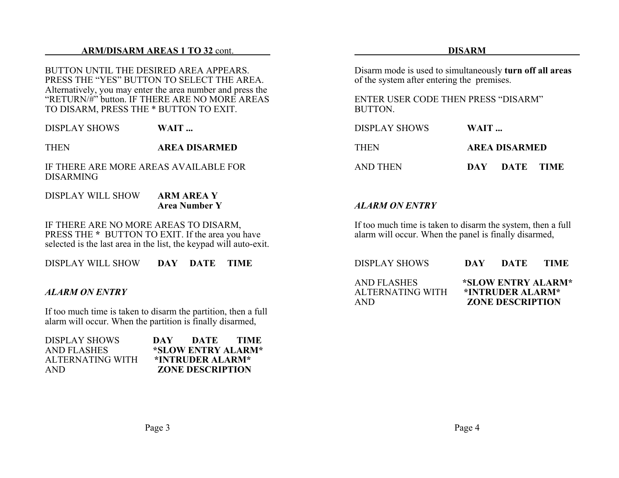#### **ARM/DISARM AREAS 1 TO 32** cont.

BUTTON UNTIL THE DESIRED AREA APPEARS.PRESS THE "YES" BUTTON TO SELECT THE AREA.Alternatively, you may enter the area number and press the "RETURN/#" button. IF THERE ARE NO MORE AREASTO DISARM, PRESS THE \* BUTTON TO EXIT.

DISPLAY SHOWS**WAIT ...**

THEN**AREA DISARMED**

IF THERE ARE MORE AREAS AVAILABLE FORDISARMING

DISPLAY WILL SHOW **ARM AREA Y Area Number Y**

IF THERE ARE NO MORE AREAS TO DISARM, PRESS THE \* BUTTON TO EXIT. If the area you have selected is the last area in the list, the keypad will auto-exit.

DISPLAY WILL SHOW**DAY DATE TIME**

#### *ALARM ON ENTRY*

If too much time is taken to disarm the partition, then a full alarm will occur. When the partition is finally disarmed,

| <b>DISPLAY SHOWS</b> | DAY | DATE                    | TIME. |
|----------------------|-----|-------------------------|-------|
| <b>AND FLASHES</b>   |     | *SLOW ENTRY ALARM*      |       |
| ALTERNATING WITH     |     | *INTRUDER ALARM*        |       |
| AND.                 |     | <b>ZONE DESCRIPTION</b> |       |

#### **DISARM**

Disarm mode is used to simultaneously **turn off all areas** of the system after entering the premises.

ENTER USER CODE THEN PRESS "DISARM"BUTTON.

| <b>DISPLAY SHOWS</b> | WAIT          |
|----------------------|---------------|
| <b>THEN</b>          | AREA DISARMED |
| AND THEN             | DAY DATE TIME |

#### *ALARM ON ENTRY*

If too much time is taken to disarm the system, then a full alarm will occur. When the panel is finally disarmed,

| DISPLAY SHOWS                                  | DAY | DATE                                                              | TIME. |
|------------------------------------------------|-----|-------------------------------------------------------------------|-------|
| <b>AND FLASHES</b><br>ALTERNATING WITH<br>AND. |     | *SLOW ENTRY ALARM*<br>*INTRUDER ALARM*<br><b>ZONE DESCRIPTION</b> |       |

Page 4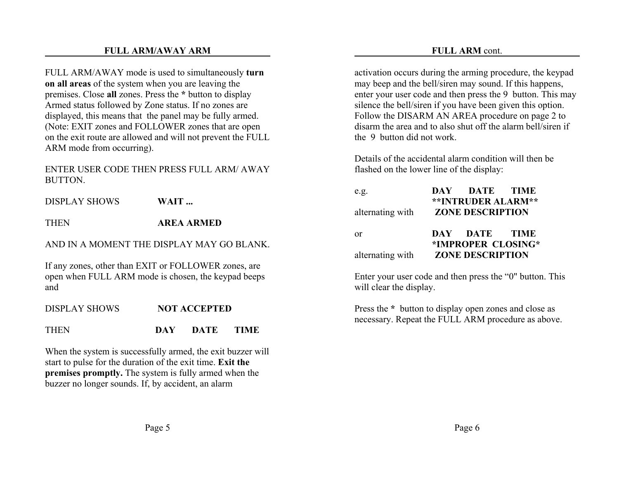#### **FULL ARM/AWAY ARM**

FULL ARM/AWAY mode is used to simultaneously **turn on all areas** of the system when you are leaving the premises. Close **all** zones. Press the **\*** button to display Armed status followed by Zone status. If no zones are displayed, this means that the panel may be fully armed. (Note: EXIT zones and FOLLOWER zones that are open on the exit route are allowed and will not prevent the FULL ARM mode from occurring).

ENTER USER CODE THEN PRESS FULL ARM/ AWAYBUTTON.

DISPLAY SHOWS**WAIT ...**

**THEN AREA ARMED**

AND IN A MOMENT THE DISPLAY MAY GO BLANK.

If any zones, other than EXIT or FOLLOWER zones, are open when FULL ARM mode is chosen, the keypad beeps and

DISPLAY SHOWS**NOT ACCEPTED**

THEN **DAY DATE TIME**

When the system is successfully armed, the exit buzzer will start to pulse for the duration of the exit time. **Exit the premises promptly.** The system is fully armed when the buzzer no longer sounds. If, by accident, an alarm

activation occurs during the arming procedure, the keypad may beep and the bell/siren may sound. If this happens, enter your user code and then press the 9 button. This may silence the bell/siren if you have been given this option. Follow the DISARM AN AREA procedure on page 2 to disarm the area and to also shut off the alarm bell/siren ifthe 9 button did not work.

Details of the accidental alarm condition will then beflashed on the lower line of the display:

| e.g.             | DAY DATE TIME                                        |  |
|------------------|------------------------------------------------------|--|
| alternating with | <b>**INTRUDER ALARM**</b><br><b>ZONE DESCRIPTION</b> |  |
| 0r               | DAY DATE TIME<br>*IMPROPER CLOSING*                  |  |
| alternating with | <b>ZONE DESCRIPTION</b>                              |  |

Enter your user code and then press the "0" button. This will clear the display.

Press the **\*** button to display open zones and close as necessary. Repeat the FULL ARM procedure as above.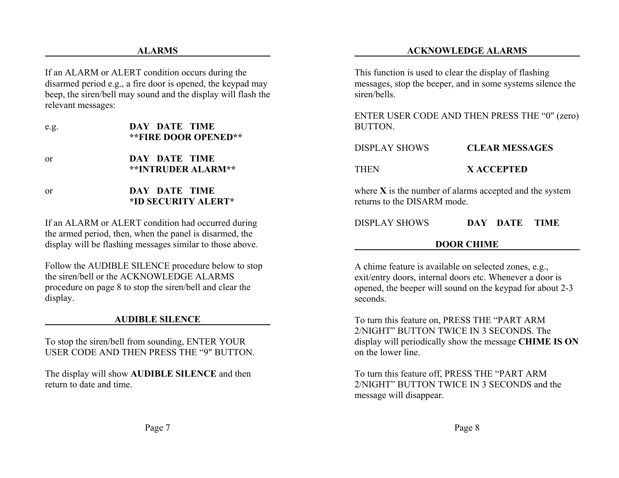If an ALARM or ALERT condition occurs during the disarmed period e.g., a fire door is opened, the keypad may beep, the siren/bell may sound and the display will flash the relevant messages:

| e.g. | DAY DATE TIME<br><b>**FIRE DOOR OPENED**</b> |
|------|----------------------------------------------|
| or   | DAY DATE TIME<br><b>**INTRUDER ALARM**</b>   |
| or   | DAY DATE TIME<br>*ID SECURITY ALERT*         |

If an ALARM or ALERT condition had occurred during the armed period, then, when the panel is disarmed, the display will be flashing messages similar to those above.

Follow the AUDIBLE SILENCE procedure below to stop the siren/bell or the ACKNOWLEDGE ALARMSprocedure on page 8 to stop the siren/bell and clear the display.

#### **AUDIBLE SILENCE**

To stop the siren/bell from sounding, ENTER YOUR USER CODE AND THEN PRESS THE "9" BUTTON.

The display will show **AUDIBLE SILENCE** and then return to date and time.

This function is used to clear the display of flashing messages, stop the beeper, and in some systems silence the siren/bells.

ENTER USER CODE AND THEN PRESS THE "0" (zero) BUTTON.

| DISPLAY SHOWS | <b>CLEAR MESSAGES</b> |
|---------------|-----------------------|
| THEN          | X ACCEPTED            |

where **X** is the number of alarms accepted and the system returns to the DISARM mode.

| <b>DISPLAY SHOWS</b> | DAY DATE TIME |  |
|----------------------|---------------|--|
|                      |               |  |

#### **DOOR CHIME**

A chime feature is available on selected zones, e.g., exit/entry doors, internal doors etc. Whenever a door is opened, the beeper will sound on the keypad for about 2-3 seconds.

To turn this feature on, PRESS THE "PART ARM 2/NIGHT" BUTTON TWICE IN 3 SECONDS. Thedisplay will periodically show the message **CHIME IS ON** on the lower line.

To turn this feature off, PRESS THE "PART ARM 2/NIGHT" BUTTON TWICE IN 3 SECONDS and the message will disappear.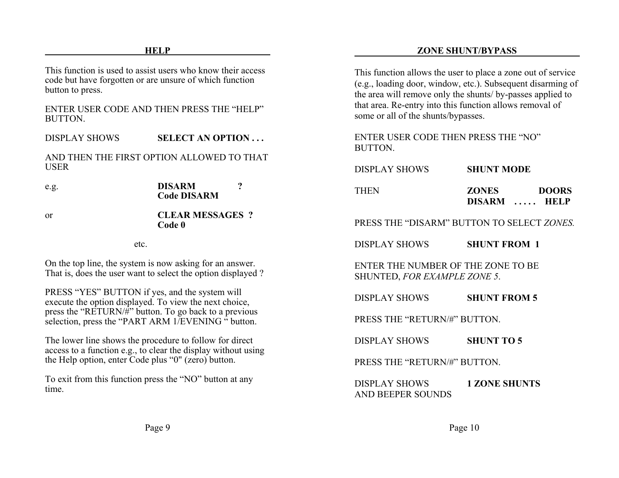This function is used to assist users who know their accesscode but have forgotten or are unsure of which function button to press.

#### ENTER USER CODE AND THEN PRESS THE "HELP"BUTTON.

DISPLAY SHOWS**SELECT AN OPTION . . .**

AND THEN THE FIRST OPTION ALLOWED TO THATUSER

e.g. **DISARM ? Code DISARM**

or

#### **CLEAR MESSAGES ?Code 0**

etc.

On the top line, the system is now asking for an answer. That is, does the user want to select the option displayed ?

PRESS "YES" BUTTON if yes, and the system will execute the option displayed. To view the next choice, press the "RETURN/#" button. To go back to a previous selection, press the "PART ARM 1/EVENING" button.

The lower line shows the procedure to follow for direct access to a function e.g., to clear the display without using the Help option, enter Code plus "0" (zero) button.

To exit from this function press the "NO" button at any time.

This function allows the user to place a zone out of service (e.g., loading door, window, etc.). Subsequent disarming of the area will remove only the shunts/ by-passes applied to that area. Re-entry into this function allows removal of some or all of the shunts/bypasses.

ENTER USER CODE THEN PRESS THE "NO"**BUTTON** 

| DISPLAY SHOWS | <b>SHUNT MODE</b>            |              |
|---------------|------------------------------|--------------|
| <b>THEN</b>   | <b>ZONES</b><br>DISARM  HELP | <b>DOORS</b> |

PRESS THE "DISARM" BUTTON TO SELECT *ZONES.*

DISPLAY SHOWS**SHUNT FROM 1**

ENTER THE NUMBER OF THE ZONE TO BESHUNTED, *FOR EXAMPLE ZONE 5*.

DISPLAY SHOWS**SHUNT FROM 5**

PRESS THE "RETURN/#" BUTTON.

DISPLAY SHOWS**SHUNT TO 5**

PRESS THE "RETURN/#" BUTTON.

DISPLAY SHOWS **1 ZONE SHUNTS** AND BEEPER SOUNDS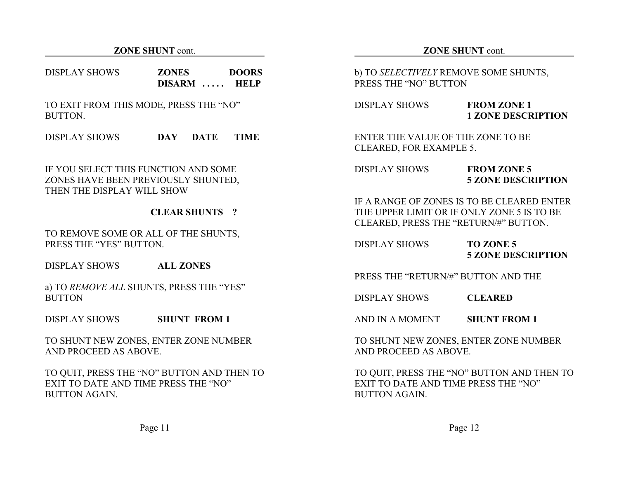#### **ZONE SHUNT** cont.

| DISPLAY SHOWS | <b>ZONES</b>       | <b>DOORS</b> |
|---------------|--------------------|--------------|
|               | <b>DISARM</b><br>. | <b>HELP</b>  |

TO EXIT FROM THIS MODE, PRESS THE "NO" BUTTON.

DISPLAY SHOWS **DAY DATE TIME**

IF YOU SELECT THIS FUNCTION AND SOMEZONES HAVE BEEN PREVIOUSLY SHUNTED, THEN THE DISPLAY WILL SHOW

#### **CLEAR SHUNTS ?**

TO REMOVE SOME OR ALL OF THE SHUNTS, PRESS THE "YES" BUTTON.

DISPLAY SHOWS**ALL ZONES**

a) TO *REMOVE ALL* SHUNTS, PRESS THE "YES" **BUTTON** 

DISPLAY SHOWS**SHUNT FROM 1**

TO SHUNT NEW ZONES, ENTER ZONE NUMBER AND PROCEED AS ABOVE.

TO QUIT, PRESS THE "NO" BUTTON AND THEN TO EXIT TO DATE AND TIME PRESS THE "NO"BUTTON AGAIN.

b) TO *SELECTIVELY* REMOVE SOME SHUNTS, PRESS THE "NO" BUTTON

| <b>DISPLAY SHOWS</b> | <b>FROM ZONE 1</b>        |
|----------------------|---------------------------|
|                      | <b>1 ZONE DESCRIPTION</b> |

#### ENTER THE VALUE OF THE ZONE TO BECLEARED, FOR EXAMPLE 5.

| <b>DISPLAY SHOWS</b> | <b>FROM ZONE 5</b>        |
|----------------------|---------------------------|
|                      | <b>5 ZONE DESCRIPTION</b> |

IF A RANGE OF ZONES IS TO BE CLEARED ENTERTHE UPPER LIMIT OR IF ONLY ZONE 5 IS TO BECLEARED, PRESS THE "RETURN/#" BUTTON.

DISPLAY SHOWS **TO ZONE 5 5 ZONE DESCRIPTION**

PRESS THE "RETURN/#" BUTTON AND THE

DISPLAY SHOWS**CLEARED**

AND IN A MOMENT**SHUNT FROM 1**

TO SHUNT NEW ZONES, ENTER ZONE NUMBER AND PROCEED AS ABOVE.

TO QUIT, PRESS THE "NO" BUTTON AND THEN TO EXIT TO DATE AND TIME PRESS THE "NO"BUTTON AGAIN.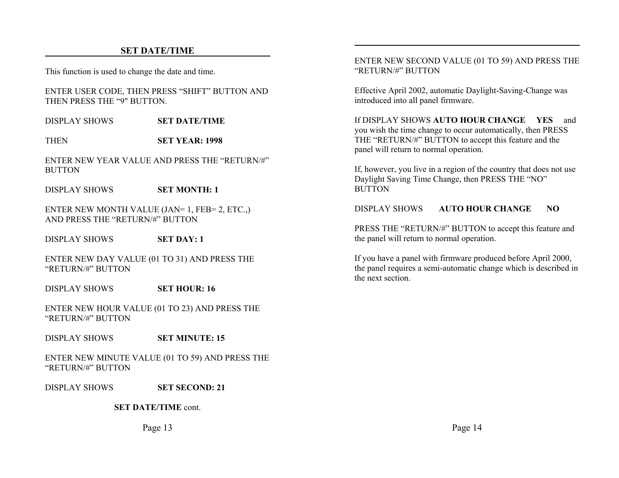#### **SET DATE/TIME**

This function is used to change the date and time.

ENTER USER CODE, THEN PRESS "SHIFT" BUTTON AND THEN PRESS THE "9" BUTTON.

DISPLAY SHOWS**SET DATE/TIME**

**THEN SET YEAR: 1998**

ENTER NEW YEAR VALUE AND PRESS THE "RETURN/#"BUTTON

DISPLAY SHOWS**SET MONTH: 1**

ENTER NEW MONTH VALUE (JAN= 1, FEB= 2, ETC.,) AND PRESS THE "RETURN/#" BUTTON

DISPLAY SHOWS**SET DAY: 1**

ENTER NEW DAY VALUE (01 TO 31) AND PRESS THE "RETURN/#" BUTTON

DISPLAY SHOWS**SET HOUR: 16**

ENTER NEW HOUR VALUE (01 TO 23) AND PRESS THE "RETURN/#" BUTTON

DISPLAY SHOWS**SET MINUTE: 15**

ENTER NEW MINUTE VALUE (01 TO 59) AND PRESS THE "RETURN/#" BUTTON

DISPLAY SHOWS**SET SECOND: 21**

**SET DATE/TIME** cont.

Page 13

ENTER NEW SECOND VALUE (01 TO 59) AND PRESS THE "RETURN/#" BUTTON

Effective April 2002, automatic Daylight-Saving-Change was introduced into all panel firmware.

If DISPLAY SHOWS **AUTO HOUR CHANGE YES** andyou wish the time change to occur automatically, then PRESS THE "RETURN/#" BUTTON to accept this feature and the panel will return to normal operation.

If, however, you live in a region of the country that does not use Daylight Saving Time Change, then PRESS THE "NO" **BUTTON** 

DISPLAY SHOWS**AUTO HOUR CHANGE NO**

PRESS THE "RETURN/#" BUTTON to accept this feature and the panel will return to normal operation.

If you have a panel with firmware produced before April 2000, the panel requires a semi-automatic change which is described in the next section.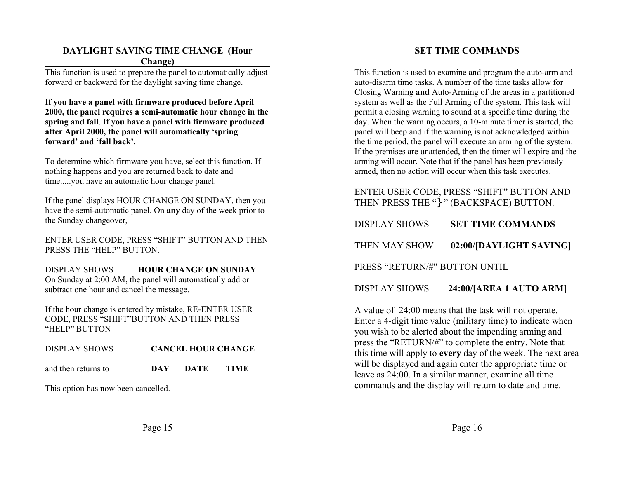#### **DAYLIGHT SAVING TIME CHANGE (Hour Change)**

This function is used to prepare the panel to automatically adjust forward or backward for the daylight saving time change.

**If you have a panel with firmware produced before April 2000, the panel requires a semi-automatic hour change in the spring and fall**. **If you have a panel with firmware produced after April 2000, the panel will automatically 'spring forward' and 'fall back'.**

To determine which firmware you have, select this function. If nothing happens and you are returned back to date and time.....you have an automatic hour change panel.

| If the panel displays HOUR CHANGE ON SUNDAY, then you          |
|----------------------------------------------------------------|
| have the semi-automatic panel. On any day of the week prior to |
| the Sunday changeover,                                         |

ENTER USER CODE, PRESS "SHIFT" BUTTON AND THEN PRESS THE "HELP" BUTTON

DISPLAY SHOWS **HOUR CHANGE ON SUNDAY** On Sunday at 2:00 AM, the panel will automatically add or subtract one hour and cancel the message.

If the hour change is entered by mistake, RE-ENTER USER CODE, PRESS "SHIFT"BUTTON AND THEN PRESS "HELP" BUTTON

| <b>DISPLAY SHOWS</b> |            |      | <b>CANCEL HOUR CHANGE</b> |  |
|----------------------|------------|------|---------------------------|--|
| and then returns to  | <b>DAY</b> | DATE | - TIME                    |  |

This option has now been cancelled.

#### **SET TIME COMMANDS**

This function is used to examine and program the auto-arm and auto-disarm time tasks. A number of the time tasks allow forClosing Warning **and** Auto-Arming of the areas in a partitioned system as well as the Full Arming of the system. This task will permit a closing warning to sound at a specific time during the day. When the warning occurs, a 10-minute timer is started, the panel will beep and if the warning is not acknowledged within the time period, the panel will execute an arming of the system. If the premises are unattended, then the timer will expire and the arming will occur. Note that if the panel has been previously armed, then no action will occur when this task executes.

#### ENTER USER CODE, PRESS "SHIFT" BUTTON AND THEN PRESS THE "}" (BACKSPACE) BUTTON.

| <b>DISPLAY SHOWS</b>          | <b>SET TIME COMMANDS</b> |
|-------------------------------|--------------------------|
| THEN MAY SHOW                 | 02:00/[DAYLIGHT SAVING]  |
| PRESS "RETURN/#" BUTTON UNTIL |                          |
| <b>DISPLAY SHOWS</b>          | 24:00/[AREA 1 AUTO ARM]  |

A value of 24:00 means that the task will not operate. Enter a 4-digit time value (military time) to indicate when you wish to be alerted about the impending arming and press the "RETURN/#" to complete the entry. Note that this time will apply to **every** day of the week. The next area will be displayed and again enter the appropriate time or leave as 24:00. In a similar manner, examine all time commands and the display will return to date and time.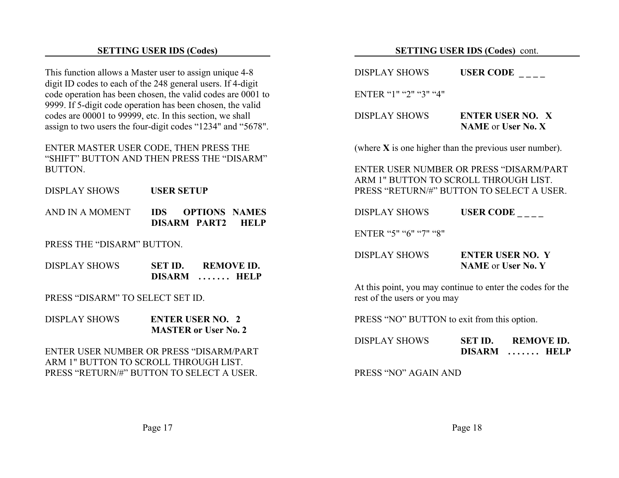#### **SETTING USER IDS (Codes)**

This function allows a Master user to assign unique 4-8 digit ID codes to each of the 248 general users. If 4-digit code operation has been chosen, the valid codes are 0001 to 9999. If 5-digit code operation has been chosen, the valid codes are 00001 to 99999, etc. In this section, we shall assign to two users the four-digit codes "1234" and "5678".

ENTER MASTER USER CODE, THEN PRESS THE "SHIFT" BUTTON AND THEN PRESS THE "DISARM"BUTTON.

DISPLAY SHOWS **USER SETUP**

| AND IN A MOMENT | <b>IDS</b> |              | <b>OPTIONS NAMES</b> |
|-----------------|------------|--------------|----------------------|
|                 |            | DISARM PART2 | <b>HELP</b>          |

PRESS THE "DISARM" BUTTON.

| <b>DISPLAY SHOWS</b> | SET ID.       | <b>REMOVE ID.</b>    |
|----------------------|---------------|----------------------|
|                      | <b>DISARM</b> | $\ldots \ldots$ HELP |

PRESS "DISARM" TO SELECT SET ID.

DISPLAY SHOWS **ENTER USER NO. 2MASTER or User No. 2**

ENTER USER NUMBER OR PRESS "DISARM/PARTARM 1" BUTTON TO SCROLL THROUGH LIST.PRESS "RETURN/#" BUTTON TO SELECT A USER.

#### **SETTING USER IDS (Codes)** cont.

DISPLAY SHOWS **USER CODE** \_\_\_\_

ENTER "1" "2" "3" "4"

DISPLAY SHOWS **ENTER USER NO. XNAME** or **User No. X**

(where **X** is one higher than the previous user number).

ENTER USER NUMBER OR PRESS "DISARM/PARTARM 1" BUTTON TO SCROLL THROUGH LIST. PRESS "RETURN/#" BUTTON TO SELECT A USER.

DISPLAY SHOWSUSER CODE \_\_\_\_

ENTER "5" "6" "7" "8"

| <b>DISPLAY SHOWS</b> | <b>ENTER USER NO. Y</b>   |
|----------------------|---------------------------|
|                      | <b>NAME</b> or User No. Y |

At this point, you may continue to enter the codes for the rest of the users or you may

PRESS "NO" BUTTON to exit from this option.

| <b>DISPLAY SHOWS</b> | SET ID.       | <b>REMOVE ID.</b> |
|----------------------|---------------|-------------------|
|                      | <b>DISARM</b> | <b>HELP</b><br>.  |

PRESS "NO" AGAIN AND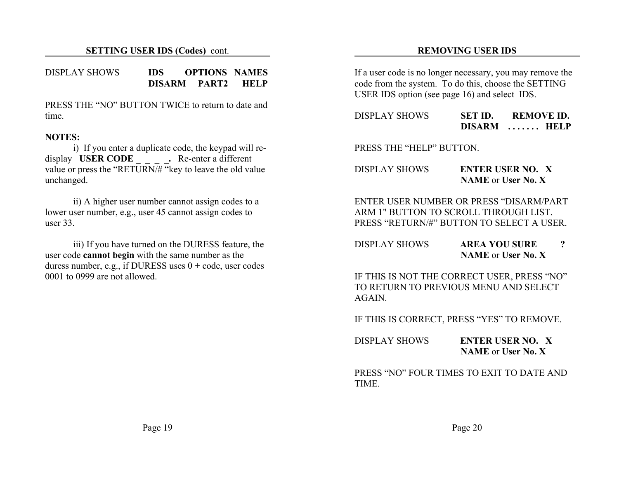#### DISPLAY SHOWS **IDS OPTIONS NAMESDISARM PART2 HELP**

PRESS THE "NO" BUTTON TWICE to return to date andtime.

#### **NOTES:**

i) If you enter a duplicate code, the keypad will redisplay **USER CODE** . Re-enter a different value or press the "RETURN/ $#$ " key to leave the old value unchanged.

ii) A higher user number cannot assign codes to a lower user number, e.g., user 45 cannot assign codes to user 33.

iii) If you have turned on the DURESS feature, the user code **cannot begin** with the same number as the duress number, e.g., if DURESS uses  $0 + \text{code}$ , user codes 0001 to 0999 are not allowed.

#### **REMOVING USER IDS**

If a user code is no longer necessary, you may remove the code from the system. To do this, choose the SETTING USER IDS option (see page 16) and select IDS.

| DISPLAY SHOWS | SET ID.       | <b>REMOVE ID.</b> |
|---------------|---------------|-------------------|
|               | <b>DISARM</b> | <b>HELP</b><br>.  |

PRESS THE "HELP" BUTTON.

| <b>DISPLAY SHOWS</b> | <b>ENTER USER NO. X</b>   |
|----------------------|---------------------------|
|                      | <b>NAME</b> or User No. X |

ENTER USER NUMBER OR PRESS "DISARM/PARTARM 1" BUTTON TO SCROLL THROUGH LIST.PRESS "RETURN/#" BUTTON TO SELECT A USER.

| DISPLAY SHOWS | <b>AREA YOU SURE</b>      |  |
|---------------|---------------------------|--|
|               | <b>NAME</b> or User No. X |  |

IF THIS IS NOT THE CORRECT USER, PRESS "NO" TO RETURN TO PREVIOUS MENU AND SELECT**AGAIN** 

IF THIS IS CORRECT, PRESS "YES" TO REMOVE.

| <b>DISPLAY SHOWS</b> | <b>ENTER USER NO. X</b>   |
|----------------------|---------------------------|
|                      | <b>NAME</b> or User No. X |

PRESS "NO" FOUR TIMES TO EXIT TO DATE ANDTIME.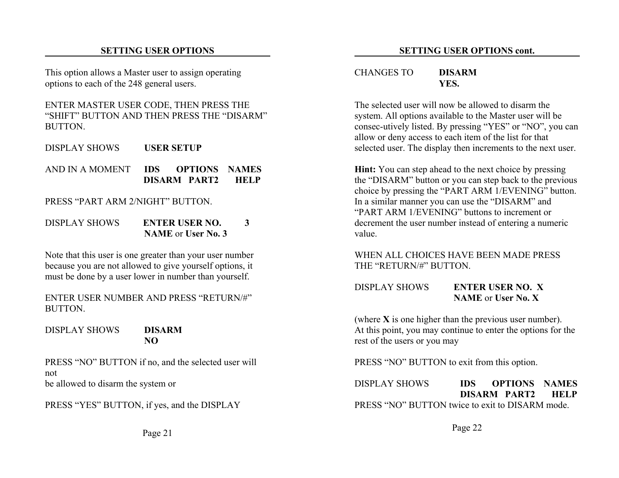#### **SETTING USER OPTIONS**

This option allows a Master user to assign operating options to each of the 248 general users.

ENTER MASTER USER CODE, THEN PRESS THE "SHIFT" BUTTON AND THEN PRESS THE "DISARM"BUTTON.

- DISPLAY SHOWS**USER SETUP**
- AND IN A MOMENT **IDS OPTIONS NAMES DISARM PART2 HELP**

PRESS "PART ARM 2/NIGHT" BUTTON

DISPLAY SHOWS **ENTER USER NO. 3NAME** or **User No. 3**

Note that this user is one greater than your user number because you are not allowed to give yourself options, it must be done by a user lower in number than yourself.

ENTER USER NUMBER AND PRESS "RETURN/#"BUTTON.

DISPLAY SHOWS **DISARMNO**

PRESS "NO" BUTTON if no, and the selected user will not be allowed to disarm the system or

PRESS "YES" BUTTON, if yes, and the DISPLAY

Page 21

#### CHANGES TO **DISARMYES.**

The selected user will now be allowed to disarm thesystem. All options available to the Master user will be consec-utively listed. By pressing "YES" or "NO", you can allow or deny access to each item of the list for that selected user. The display then increments to the next user.

**Hint:** You can step ahead to the next choice by pressing the "DISARM" button or you can step back to the previous choice by pressing the "PART ARM 1/EVENING" button. In a similar manner you can use the "DISARM" and "PART ARM 1/EVENING" buttons to increment ordecrement the user number instead of entering a numeric value.

#### WHEN ALL CHOICES HAVE BEEN MADE PRESSTHE "RETURN/#" BUTTON.

#### DISPLAY SHOWS **ENTER USER NO. XNAME** or **User No. X**

(where **X** is one higher than the previous user number). At this point, you may continue to enter the options for the rest of the users or you may

PRESS "NO" BUTTON to exit from this option.

DISPLAY SHOWS **IDS OPTIONS NAMESDISARM PART2 HELP**PRESS "NO" BUTTON twice to exit to DISARM mode.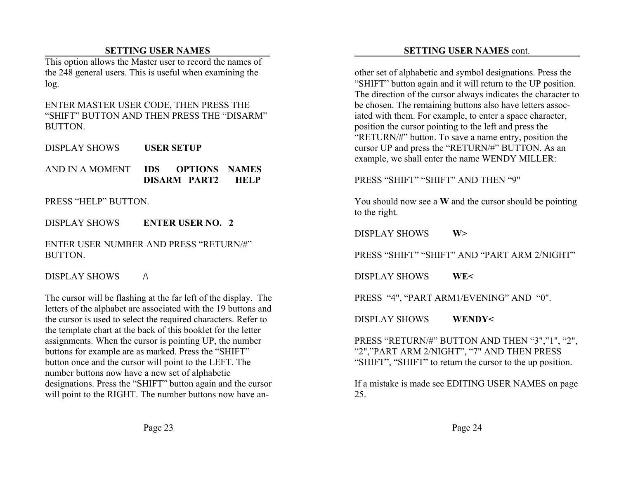### **SETTING USER NAMES**

This option allows the Master user to record the names of the 248 general users. This is useful when examining the log.

#### ENTER MASTER USER CODE, THEN PRESS THE "SHIFT" BUTTON AND THEN PRESS THE "DISARM"BUTTON.

DISPLAY SHOWS**USER SETUP**

AND IN A MOMENT **IDS OPTIONS NAMES DISARM PART2 HELP**

PRESS "HELP" BUTTON.

DISPLAY SHOWS **ENTER USER NO. 2**

ENTER USER NUMBER AND PRESS "RETURN/#"BUTTON.

## DISPLAY SHOWS **/\**

The cursor will be flashing at the far left of the display. The letters of the alphabet are associated with the 19 buttons and the cursor is used to select the required characters. Refer to the template chart at the back of this booklet for the letter assignments. When the cursor is pointing UP, the number buttons for example are as marked. Press the "SHIFT" button once and the cursor will point to the LEFT. The number buttons now have a new set of alphabetic designations. Press the "SHIFT" button again and the cursor will point to the RIGHT. The number buttons now have an-

# **SETTING USER NAMES** cont.

other set of alphabetic and symbol designations. Press the "SHIFT" button again and it will return to the UP position. The direction of the cursor always indicates the character to be chosen. The remaining buttons also have letters associated with them. For example, to enter a space character, position the cursor pointing to the left and press the "RETURN/#" button. To save a name entry, position the cursor UP and press the "RETURN/#" BUTTON. As an example, we shall enter the name WENDY MILLER:

PRESS "SHIFT" "SHIFT" AND THEN "9"

You should now see a **W** and the cursor should be pointing to the right.

DISPLAY SHOWS **W>**

PRESS "SHIFT" "SHIFT" AND "PART ARM 2/NIGHT"

DISPLAY SHOWS **WE<**

PRESS "4", "PART ARM1/EVENING" AND "0".

DISPLAY SHOWS **WENDY<**

PRESS "RETURN/#" BUTTON AND THEN "3","1", "2", "2","PART ARM 2/NIGHT", "7" AND THEN PRESS "SHIFT", "SHIFT" to return the cursor to the up position.

If a mistake is made see EDITING USER NAMES on page 25.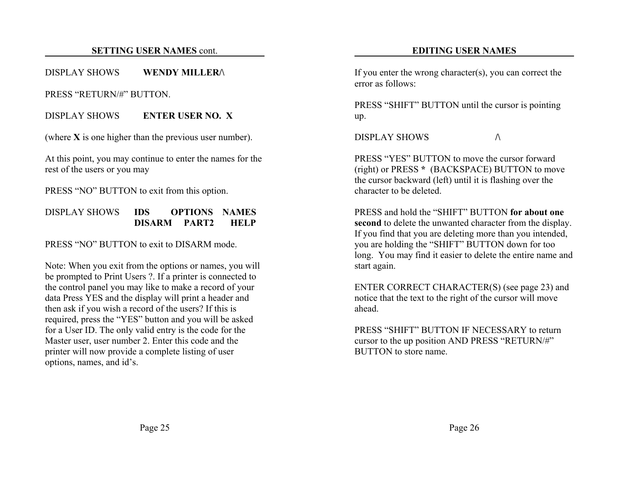#### **SETTING USER NAMES** cont.

#### DISPLAY SHOWS **WENDY MILLER/\**

PRESS "RETURN/#" BUTTON.

DISPLAY SHOWS **ENTER USER NO. X**

(where **X** is one higher than the previous user number).

At this point, you may continue to enter the names for the rest of the users or you may

PRESS "NO" BUTTON to exit from this option.

#### DISPLAY SHOWS **IDS OPTIONS NAMESDISARM PART2 HELP**

PRESS "NO" BUTTON to exit to DISARM mode.

Note: When you exit from the options or names, you will be prompted to Print Users ?. If a printer is connected to the control panel you may like to make a record of your data Press YES and the display will print a header and then ask if you wish a record of the users? If this is required, press the "YES" button and you will be asked for a User ID. The only valid entry is the code for the Master user, user number 2. Enter this code and the printer will now provide a complete listing of user options, names, and id's.

#### **EDITING USER NAMES**

If you enter the wrong character(s), you can correct the error as follows:

PRESS "SHIFT" BUTTON until the cursor is pointing up.

DISPLAY SHOWS $\mathbf S$   $\qquad \qquad \wedge$ 

PRESS "YES" BUTTON to move the cursor forward(right) or PRESS **\*** (BACKSPACE) BUTTON to move the cursor backward (left) until it is flashing over the character to be deleted.

PRESS and hold the "SHIFT" BUTTON **for about onesecond** to delete the unwanted character from the display. If you find that you are deleting more than you intended, you are holding the "SHIFT" BUTTON down for too long. You may find it easier to delete the entire name and start again.

ENTER CORRECT CHARACTER(S) (see page 23) and notice that the text to the right of the cursor will move ahead.

PRESS "SHIFT" BUTTON IF NECESSARY to returncursor to the up position AND PRESS "RETURN/#" BUTTON to store name.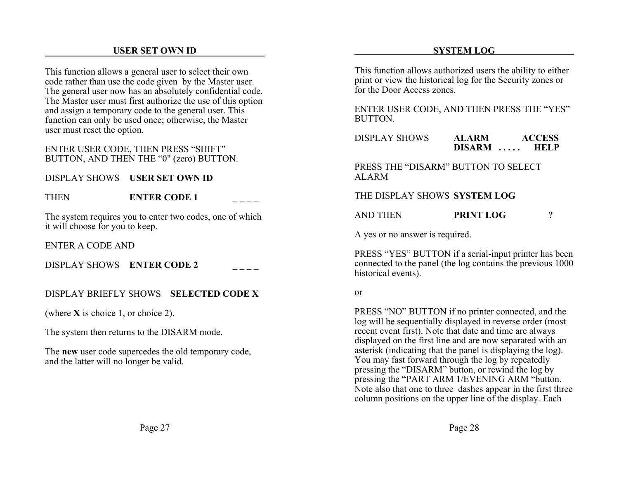#### **USER SET OWN ID**

This function allows a general user to select their own code rather than use the code given by the Master user. The general user now has an absolutely confidential code. The Master user must first authorize the use of this option and assign a temporary code to the general user. This function can only be used once; otherwise, the Master user must reset the option.

#### ENTER USER CODE, THEN PRESS "SHIFT" BUTTON, AND THEN THE "0" (zero) BUTTON.

#### DISPLAY SHOWS **USER SET OWN ID**

| <b>THEN</b> | <b>ENTER CODE 1</b> |  |
|-------------|---------------------|--|
|             |                     |  |

The system requires you to enter two codes, one of which it will choose for you to keep.

ENTER A CODE AND

DISPLAY SHOWS **ENTER CODE 2 \_ \_ \_ \_**

#### DISPLAY BRIEFLY SHOWS **SELECTED CODE X**

(where **X** is choice 1, or choice 2).

The system then returns to the DISARM mode.

The **new** user code supercedes the old temporary code, and the latter will no longer be valid.

Page 27

#### **SYSTEM LOG**

This function allows authorized users the ability to either print or view the historical log for the Security zones or for the Door Access zones.

ENTER USER CODE, AND THEN PRESS THE "YES" BUTTON.

DISPLAY SHOWS **ALARM ACCESS DISARM . . . . . HELP**

PRESS THE "DISARM" BUTTON TO SELECTALARM

#### THE DISPLAY SHOWS **SYSTEM LOG**

AND THEN**PRINT LOG ?**

A yes or no answer is required.

PRESS "YES" BUTTON if a serial-input printer has been connected to the panel (the log contains the previous 1000 historical events).

#### or

PRESS "NO" BUTTON if no printer connected, and the log will be sequentially displayed in reverse order (most recent event first). Note that date and time are always displayed on the first line and are now separated with an asterisk (indicating that the panel is displaying the log). You may fast forward through the log by repeatedly pressing the "DISARM" button, or rewind the log by pressing the "PART ARM 1/EVENING ARM "button. Note also that one to three dashes appear in the first three column positions on the upper line of the display. Each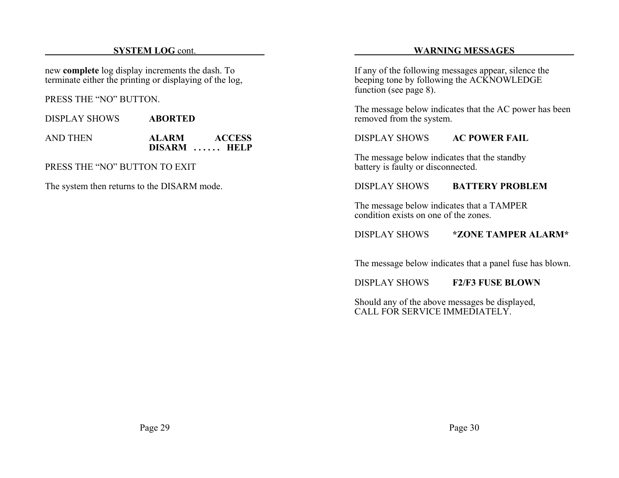#### **SYSTEM LOG** cont.

new **complete** log display increments the dash. To terminate either the printing or displaying of the log,

PRESS THE "NO" BUTTON.

DISPLAY SHOWS **ABORTED**

| AND THEN | <b>ALARM</b> | <b>ACCESS</b> |
|----------|--------------|---------------|
|          |              | DISARM  HELP  |

PRESS THE "NO" BUTTON TO EXIT

The system then returns to the DISARM mode.

#### **WARNING MESSAGES**

If any of the following messages appear, silence the beeping tone by following the ACKNOWLEDGE function (see page 8).

The message below indicates that the AC power has been removed from the system.

DISPLAY SHOWS **AC POWER FAIL**

The message below indicates that the standby battery is faulty or disconnected.

#### DISPLAY SHOWS **BATTERY PROBLEM**

The message below indicates that a TAMPER condition exists on one of the zones.

### DISPLAY SHOWS **\*ZONE TAMPER ALARM\***

The message below indicates that a panel fuse has blown.

DISPLAY SHOWS **F2/F3 FUSE BLOWN**

Should any of the above messages be displayed, CALL FOR SERVICE IMMEDIATELY.